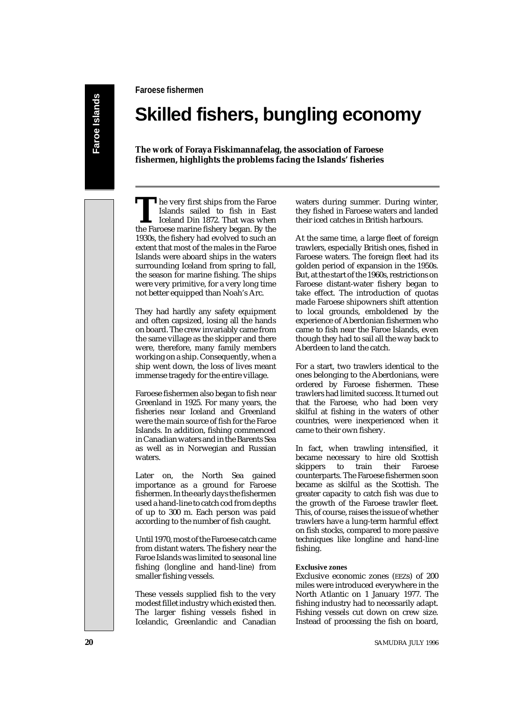**Faroese fishermen**

# **Skilled fishers, bungling economy**

**The work of Foraya Fiskimannafelag, the association of Faroese fishermen, highlights the problems facing the Islands' fisheries**

The very first ships from the Faroe<br>Islands sailed to fish in East<br>Iceland Din 1872. That was when<br>the Faroese marine fishery began. By the Islands sailed to fish in East Iceland Din 1872. That was when the Faroese marine fishery began. By the 1930s, the fishery had evolved to such an extent that most of the males in the Faroe Islands were aboard ships in the waters surrounding Iceland from spring to fall, the season for marine fishing. The ships were very primitive, for a very long time not better equipped than Noah's Arc.

They had hardly any safety equipment and often capsized, losing all the hands on board. The crew invariably came from the same village as the skipper and there were, therefore, many family members working on a ship. Consequently, when a ship went down, the loss of lives meant immense tragedy for the entire village.

Faroese fishermen also began to fish near Greenland in 1925. For many years, the fisheries near Iceland and Greenland were the main source of fish for the Faroe Islands. In addition, fishing commenced in Canadian waters and in the Barents Sea as well as in Norwegian and Russian waters.

Later on, the North Sea gained importance as a ground for Faroese fishermen. In the early days the fishermen used a hand-line to catch cod from depths of up to 300 m. Each person was paid according to the number of fish caught.

Until 1970, most of the Faroese catch came from distant waters. The fishery near the Faroe Islands was limited to seasonal line fishing (longline and hand-line) from smaller fishing vessels.

These vessels supplied fish to the very modest fillet industry which existed then. The larger fishing vessels fished in Icelandic, Greenlandic and Canadian

waters during summer. During winter, they fished in Faroese waters and landed their iced catches in British harbours.

At the same time, a large fleet of foreign trawlers, especially British ones, fished in Faroese waters. The foreign fleet had its golden period of expansion in the 1950s. But, at the start of the 1960s, restrictions on Faroese distant-water fishery began to take effect. The introduction of quotas made Faroese shipowners shift attention to local grounds, emboldened by the experience of Aberdonian fishermen who came to fish near the Faroe Islands, even though they had to sail all the way back to Aberdeen to land the catch.

For a start, two trawlers identical to the ones belonging to the Aberdonians, were ordered by Faroese fishermen. These trawlers had limited success. It turned out that the Faroese, who had been very skilful at fishing in the waters of other countries, were inexperienced when it came to their own fishery.

In fact, when trawling intensified, it became necessary to hire old Scottish skippers to train their Faroese counterparts. The Faroese fishermen soon became as skilful as the Scottish. The greater capacity to catch fish was due to the growth of the Faroese trawler fleet. This, of course, raises the issue of whether trawlers have a lung-term harmful effect on fish stocks, compared to more passive techniques like longline and hand-line fishing.

## **Exclusive zones**

Exclusive economic zones (EEZs) of 200 miles were introduced everywhere in the North Atlantic on 1 January 1977. The fishing industry had to necessarily adapt. Fishing vessels cut down on crew size. Instead of processing the fish on board,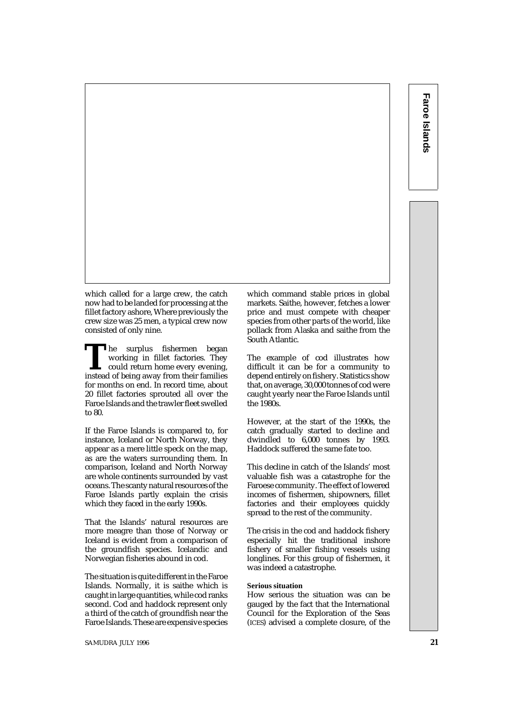which called for a large crew, the catch now had to be landed for processing at the fillet factory ashore, Where previously the crew size was 25 men, a typical crew now consisted of only nine.

The surplus fishermen began working in fillet factories. They could return home every evening, instead of being away from their families working in fillet factories. They could return home every evening, for months on end. In record time, about 20 fillet factories sprouted all over the Faroe Islands and the trawler fleet swelled to 80.

If the Faroe Islands is compared to, for instance, Iceland or North Norway, they appear as a mere little speck on the map, as are the waters surrounding them. In comparison, Iceland and North Norway are whole continents surrounded by vast oceans. The scanty natural resources of the Faroe Islands partly explain the crisis which they faced in the early 1990s.

That the Islands' natural resources are more meagre than those of Norway or Iceland is evident from a comparison of the groundfish species. Icelandic and Norwegian fisheries abound in cod.

The situation is quite different in the Faroe Islands. Normally, it is saithe which is caught in large quantities, while cod ranks second. Cod and haddock represent only a third of the catch of groundfish near the Faroe Islands. These are expensive species which command stable prices in global markets. Saithe, however, fetches a lower price and must compete with cheaper species from other parts of the world, like pollack from Alaska and saithe from the South Atlantic.

The example of cod illustrates how difficult it can be for a community to depend entirely on fishery. Statistics show that, on average, 30,000 tonnes of cod were caught yearly near the Faroe Islands until the 1980s.

However, at the start of the 1990s, the catch gradually started to decline and dwindled to 6,000 tonnes by 1993. Haddock suffered the same fate too.

This decline in catch of the Islands' most valuable fish was a catastrophe for the Faroese community. The effect of lowered incomes of fishermen, shipowners, fillet factories and their employees quickly spread to the rest of the community.

The crisis in the cod and haddock fishery especially hit the traditional inshore fishery of smaller fishing vessels using longlines. For this group of fishermen, it was indeed a catastrophe.

#### **Serious situation**

How serious the situation was can be gauged by the fact that the International Council for the Exploration of the Seas (ICES) advised a complete closure, of the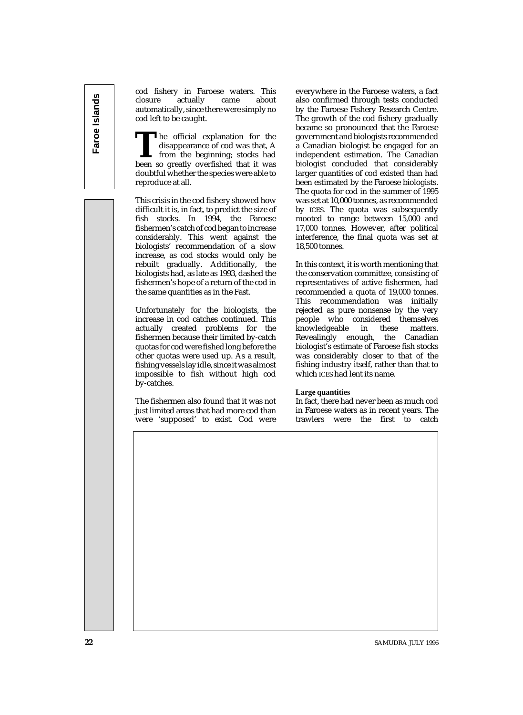cod fishery in Faroese waters. This closure actually came about automatically, since there were simply no cod left to be caught.

**T**he official explanation for the disappearance of cod was that, A from the beginning; stocks had been so greatly overfished that it was doubtful whether the species were able to reproduce at all.

This crisis in the cod fishery showed how difficult it is, in fact, to predict the size of fish stocks. In 1994, the Faroese fishermen's catch of cod began to increase considerably. This went against the biologists' recommendation of a slow increase, as cod stocks would only be rebuilt gradually. Additionally, the biologists had, as late as 1993, dashed the fishermen's hope of a return of the cod in the same quantities as in the Fast.

Unfortunately for the biologists, the increase in cod catches continued. This actually created problems for the fishermen because their limited by-catch quotas for cod were fished long before the other quotas were used up. As a result, fishing vessels lay idle, since it was almost impossible to fish without high cod by-catches.

The fishermen also found that it was not just limited areas that had more cod than were 'supposed' to exist. Cod were

everywhere in the Faroese waters, a fact also confirmed through tests conducted by the Faroese Fishery Research Centre. The growth of the cod fishery gradually became so pronounced that the Faroese government and biologists recommended a Canadian biologist be engaged for an independent estimation. The Canadian biologist concluded that considerably larger quantities of cod existed than had been estimated by the Faroese biologists. The quota for cod in the summer of 1995 was set at 10,000 tonnes, as recommended by ICES. The quota was subsequently mooted to range between 15,000 and 17,000 tonnes. However, after political interference, the final quota was set at 18,500 tonnes.

In this context, it is worth mentioning that the conservation committee, consisting of representatives of active fishermen, had recommended a quota of 19,000 tonnes. This recommendation was initially rejected as pure nonsense by the very people who considered themselves knowledgeable in these matters. Revealingly enough, the Canadian biologist's estimate of Faroese fish stocks was considerably closer to that of the fishing industry itself, rather than that to which ICES had lent its name.

### **Large quantities**

In fact, there had never been as much cod in Faroese waters as in recent years. The trawlers were the first to catch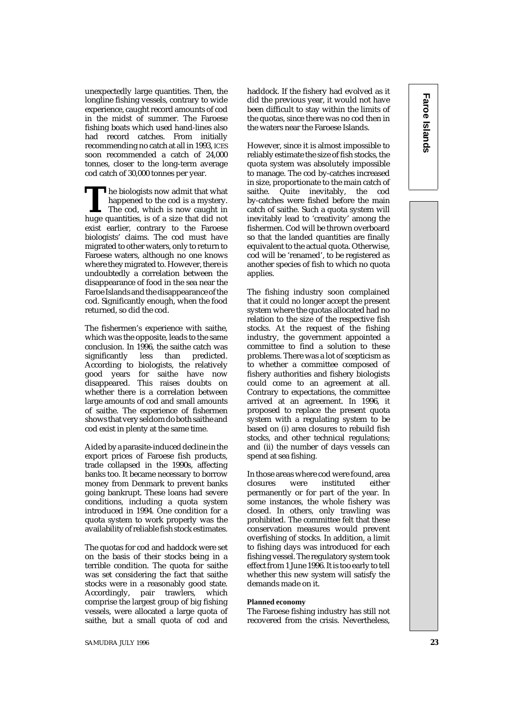unexpectedly large quantities. Then, the longline fishing vessels, contrary to wide experience, caught record amounts of cod in the midst of summer. The Faroese fishing boats which used hand-lines also had record catches. From initially recommending no catch at all in 1993, ICES soon recommended a catch of 24,000 tonnes, closer to the long-term average cod catch of 30,000 tonnes per year.

The biologists now admit that what<br>happened to the cod is a mystery.<br>The cod, which is now caught in<br>huge quantities, is of a size that did not happened to the cod is a mystery. The cod, which is now caught in exist earlier, contrary to the Faroese biologists' claims. The cod must have migrated to other waters, only to return to Faroese waters, although no one knows where they migrated to. However, there is undoubtedly a correlation between the disappearance of food in the sea near the Faroe Islands and the disappearance of the cod. Significantly enough, when the food returned, so did the cod.

The fishermen's experience with saithe, which was the opposite, leads to the same conclusion. In 1996, the saithe catch was<br>significantly less than predicted. significantly less than According to biologists, the relatively good years for saithe have now disappeared. This raises doubts on whether there is a correlation between large amounts of cod and small amounts of saithe. The experience of fishermen shows that very seldom do both saithe and cod exist in plenty at the same time.

Aided by a parasite-induced decline in the export prices of Faroese fish products, trade collapsed in the 1990s, affecting banks too. It became necessary to borrow money from Denmark to prevent banks going bankrupt. These loans had severe conditions, including a quota system introduced in 1994. One condition for a quota system to work properly was the availability of reliable fish stock estimates.

The quotas for cod and haddock were set on the basis of their stocks being in a terrible condition. The quota for saithe was set considering the fact that saithe stocks were in a reasonably good state. Accordingly, pair trawlers, which comprise the largest group of big fishing vessels, were allocated a large quota of saithe, but a small quota of cod and

haddock. If the fishery had evolved as it did the previous year, it would not have been difficult to stay within the limits of the quotas, since there was no cod then in the waters near the Faroese Islands.

However, since it is almost impossible to reliably estimate the size of fish stocks, the quota system was absolutely impossible to manage. The cod by-catches increased in size, proportionate to the main catch of saithe. Quite inevitably, the cod by-catches were fished before the main catch of saithe. Such a quota system will inevitably lead to 'creativity' among the fishermen. Cod will be thrown overboard so that the landed quantities are finally equivalent to the actual quota. Otherwise, cod will be 'renamed', to be registered as another species of fish to which no quota applies.

The fishing industry soon complained that it could no longer accept the present system where the quotas allocated had no relation to the size of the respective fish stocks. At the request of the fishing industry, the government appointed a committee to find a solution to these problems. There was a lot of scepticism as to whether a committee composed of fishery authorities and fishery biologists could come to an agreement at all. Contrary to expectations, the committee arrived at an agreement. In 1996, it proposed to replace the present quota system with a regulating system to be based on (i) area closures to rebuild fish stocks, and other technical regulations; and (ii) the number of days vessels can spend at sea fishing.

In those areas where cod were found, area closures were instituted either permanently or for part of the year. In some instances, the whole fishery was closed. In others, only trawling was prohibited. The committee felt that these conservation measures would prevent overfishing of stocks. In addition, a limit to fishing days was introduced for each fishing vessel. The regulatory system took effect from 1 June 1996. It is too early to tell whether this new system will satisfy the demands made on it.

#### **Planned economy**

The Faroese fishing industry has still not recovered from the crisis. Nevertheless,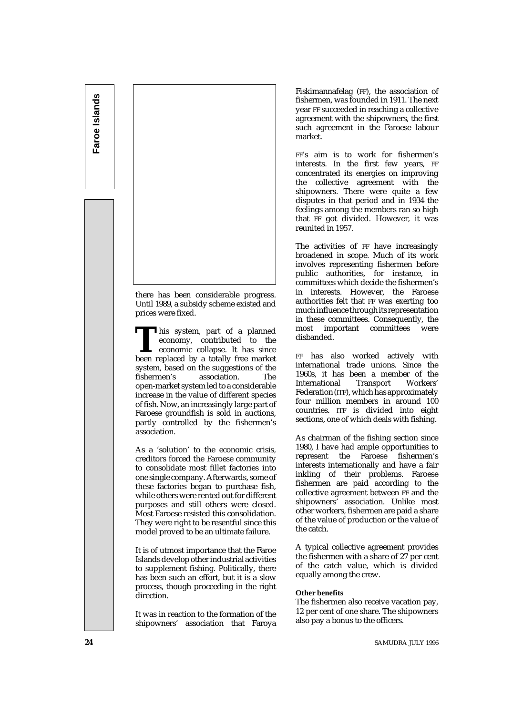

there has been considerable progress. Until 1989, a subsidy scheme existed and prices were fixed.

This system, part of a planned<br>
economy, contributed to the<br>
economic collapse. It has since<br>
been replaced by a totally free market economy, contributed to the economic collapse. It has since system, based on the suggestions of the<br>fishermen's association. The association. open-market system led to a considerable increase in the value of different species of fish. Now, an increasingly large part of Faroese groundfish is sold in auctions, partly controlled by the fishermen's association.

As a 'solution' to the economic crisis, creditors forced the Faroese community to consolidate most fillet factories into one single company. Afterwards, some of these factories began to purchase fish, while others were rented out for different purposes and still others were closed. Most Faroese resisted this consolidation. They were right to be resentful since this model proved to be an ultimate failure.

It is of utmost importance that the Faroe Islands develop other industrial activities to supplement fishing. Politically, there has been such an effort, but it is a slow process, though proceeding in the right direction.

It was in reaction to the formation of the shipowners' association that Faroya

Fiskimannafelag (FF), the association of fishermen, was founded in 1911. The next year FF succeeded in reaching a collective agreement with the shipowners, the first such agreement in the Faroese labour market.

FF's aim is to work for fishermen's interests. In the first few years, FF concentrated its energies on improving the collective agreement with the shipowners. There were quite a few disputes in that period and in 1934 the feelings among the members ran so high that FF got divided. However, it was reunited in 1957.

The activities of FF have increasingly broadened in scope. Much of its work involves representing fishermen before public authorities, for instance, in committees which decide the fishermen's in interests. However, the Faroese authorities felt that FF was exerting too much influence through its representation in these committees. Consequently, the most important committees were disbanded.

FF has also worked actively with international trade unions. Since the 1960s, it has been a member of the International Transport Workers' Federation (ITF), which has approximately four million members in around 100 countries. ITF is divided into eight sections, one of which deals with fishing.

As chairman of the fishing section since 1980, I have had ample opportunities to represent the Faroese fishermen's interests internationally and have a fair inkling of their problems. Faroese fishermen are paid according to the collective agreement between FF and the shipowners' association. Unlike most other workers, fishermen are paid a share of the value of production or the value of the catch.

A typical collective agreement provides the fishermen with a share of 27 per cent of the catch value, which is divided equally among the crew.

### **Other benefits**

The fishermen also receive vacation pay, 12 per cent of one share. The shipowners also pay a bonus to the officers.